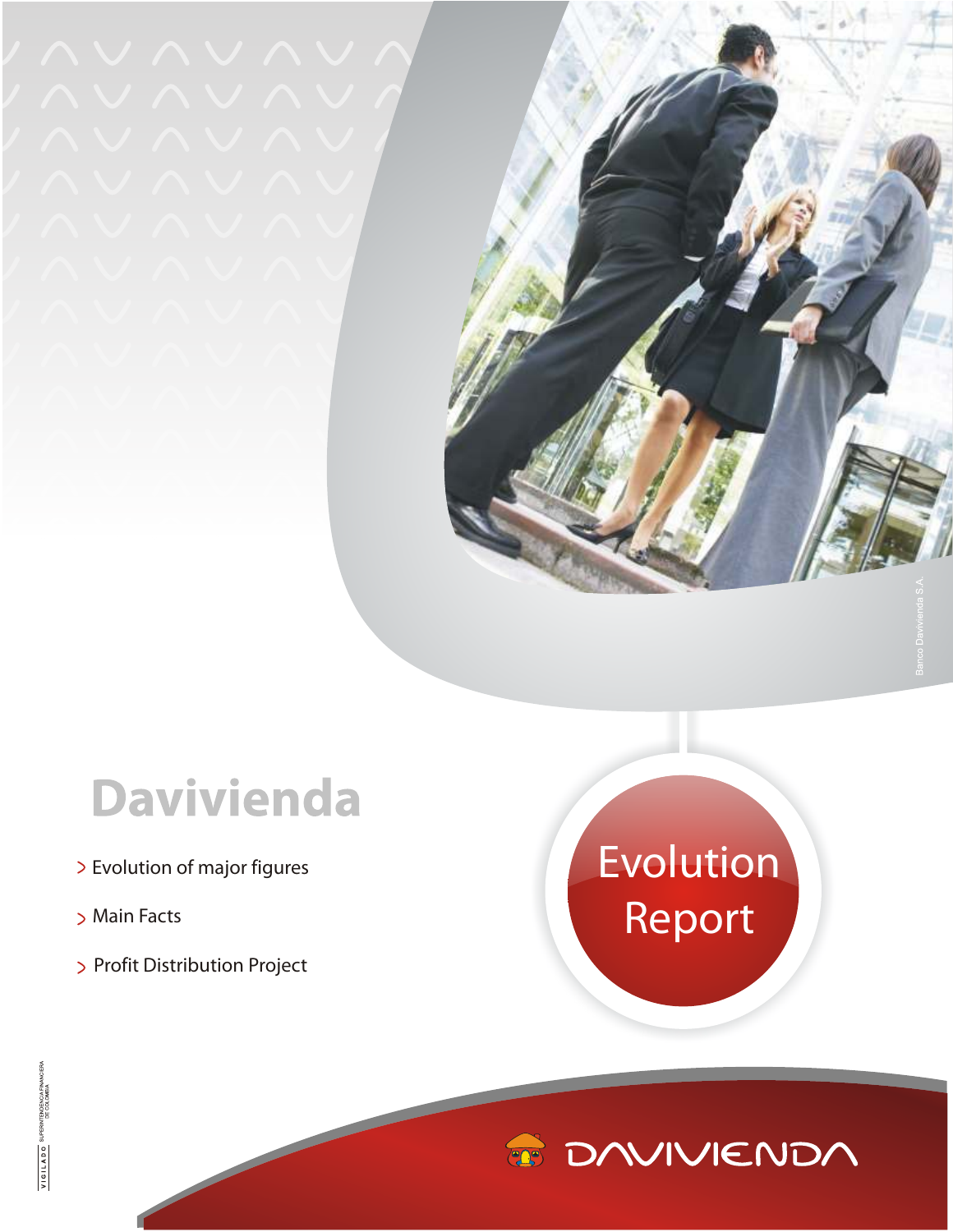## **Davivienda**

- E volution of major figures
- Main Facts
- > Profit Distribution Project

## E volution Report

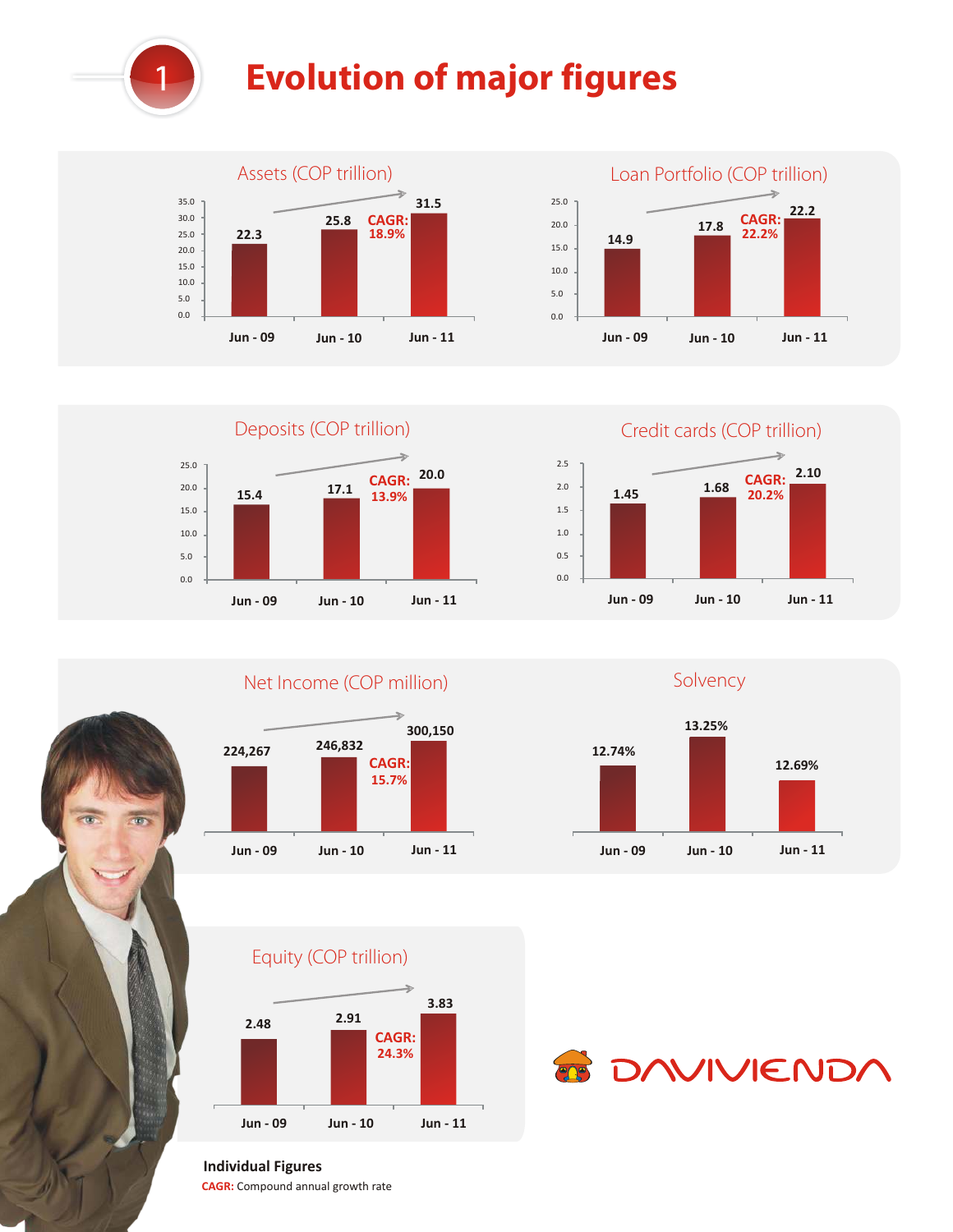

## **Evolution of major figures**













Equity (COP trillion)





## **Individual Figures**

**CAGR:** Compound annual growth rate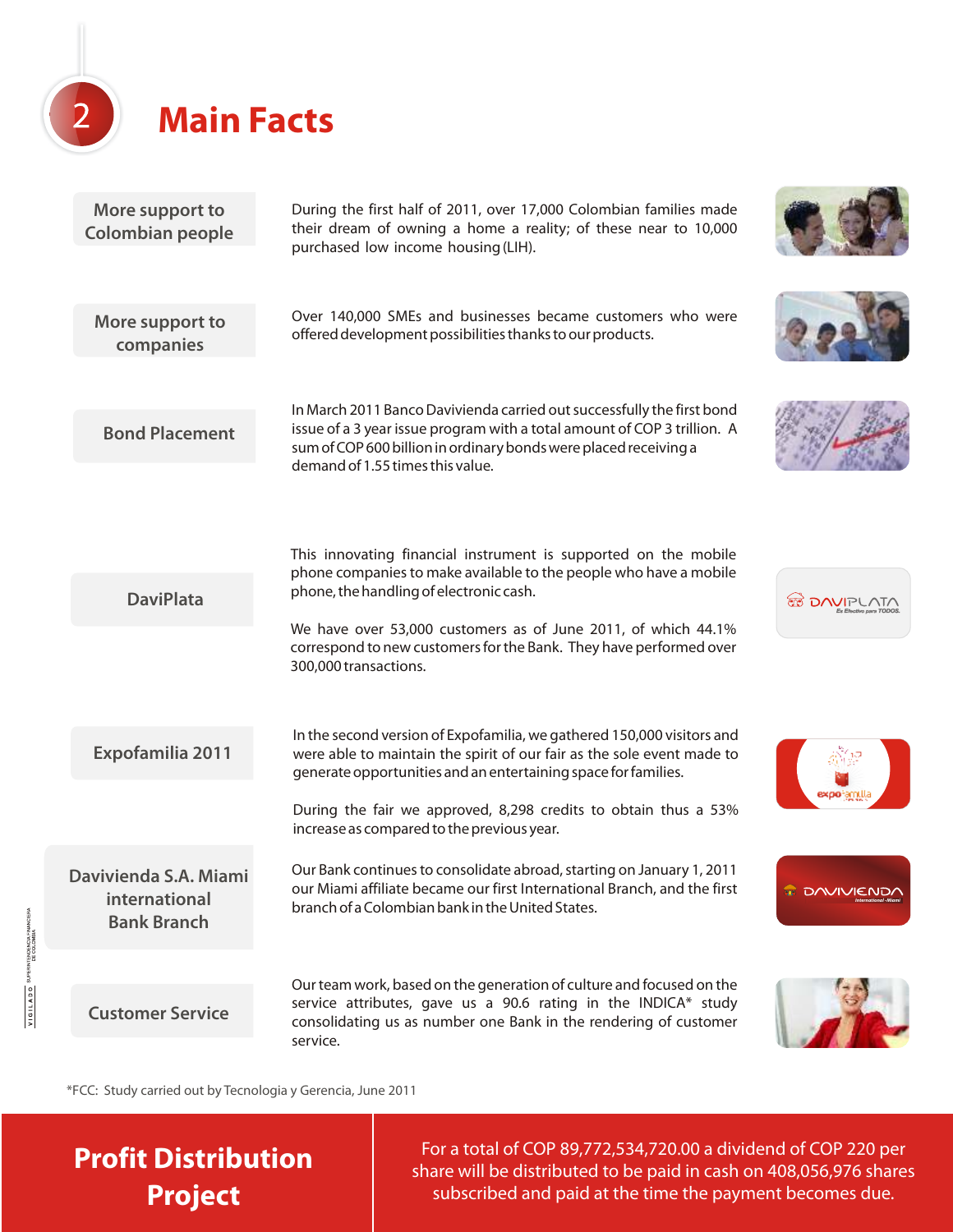

| More support to<br><b>Colombian people</b>                   | During the first half of 2011, over 17,000 Colombian families made<br>their dream of owning a home a reality; of these near to 10,000<br>purchased low income housing (LIH).                                                                               |                     |
|--------------------------------------------------------------|------------------------------------------------------------------------------------------------------------------------------------------------------------------------------------------------------------------------------------------------------------|---------------------|
| More support to<br>companies                                 | Over 140,000 SMEs and businesses became customers who were<br>offered development possibilities thanks to our products.                                                                                                                                    |                     |
| <b>Bond Placement</b>                                        | In March 2011 Banco Davivienda carried out successfully the first bond<br>issue of a 3 year issue program with a total amount of COP 3 trillion. A<br>sum of COP 600 billion in ordinary bonds were placed receiving a<br>demand of 1.55 times this value. |                     |
|                                                              | This innovating financial instrument is supported on the mobile<br>phone companies to make available to the people who have a mobile                                                                                                                       |                     |
| <b>DaviPlata</b>                                             | phone, the handling of electronic cash.                                                                                                                                                                                                                    | <b>ED DAVIPLATA</b> |
|                                                              | We have over 53,000 customers as of June 2011, of which 44.1%<br>correspond to new customers for the Bank. They have performed over<br>300,000 transactions.                                                                                               |                     |
| Expofamilia 2011                                             | In the second version of Expofamilia, we gathered 150,000 visitors and<br>were able to maintain the spirit of our fair as the sole event made to<br>generate opportunities and an entertaining space for families.                                         |                     |
|                                                              | During the fair we approved, 8,298 credits to obtain thus a 53%<br>increase as compared to the previous year.                                                                                                                                              | expotamul           |
| Davivienda S.A. Miami<br>international<br><b>Bank Branch</b> | Our Bank continues to consolidate abroad, starting on January 1, 2011<br>our Miami affiliate became our first International Branch, and the first<br>branch of a Colombian bank in the United States.                                                      | <b>T DAVIVIENDA</b> |
|                                                              | Our team work, based on the generation of culture and focused on the                                                                                                                                                                                       |                     |
| <b>Customer Service</b>                                      | service attributes, gave us a 90.6 rating in the INDICA* study<br>consolidating us as number one Bank in the rendering of customer<br>service.                                                                                                             |                     |

\*FCC: Study carried out by Tecnologia y Gerencia, June 2011

**Profit Distribution Project**

VIGILADO

For a total of COP 89,772,534,720.00 a dividend of COP 220 per share will be distributed to be paid in cash on 408,056,976 shares subscribed and paid at the time the payment becomes due.

**CARD TO**